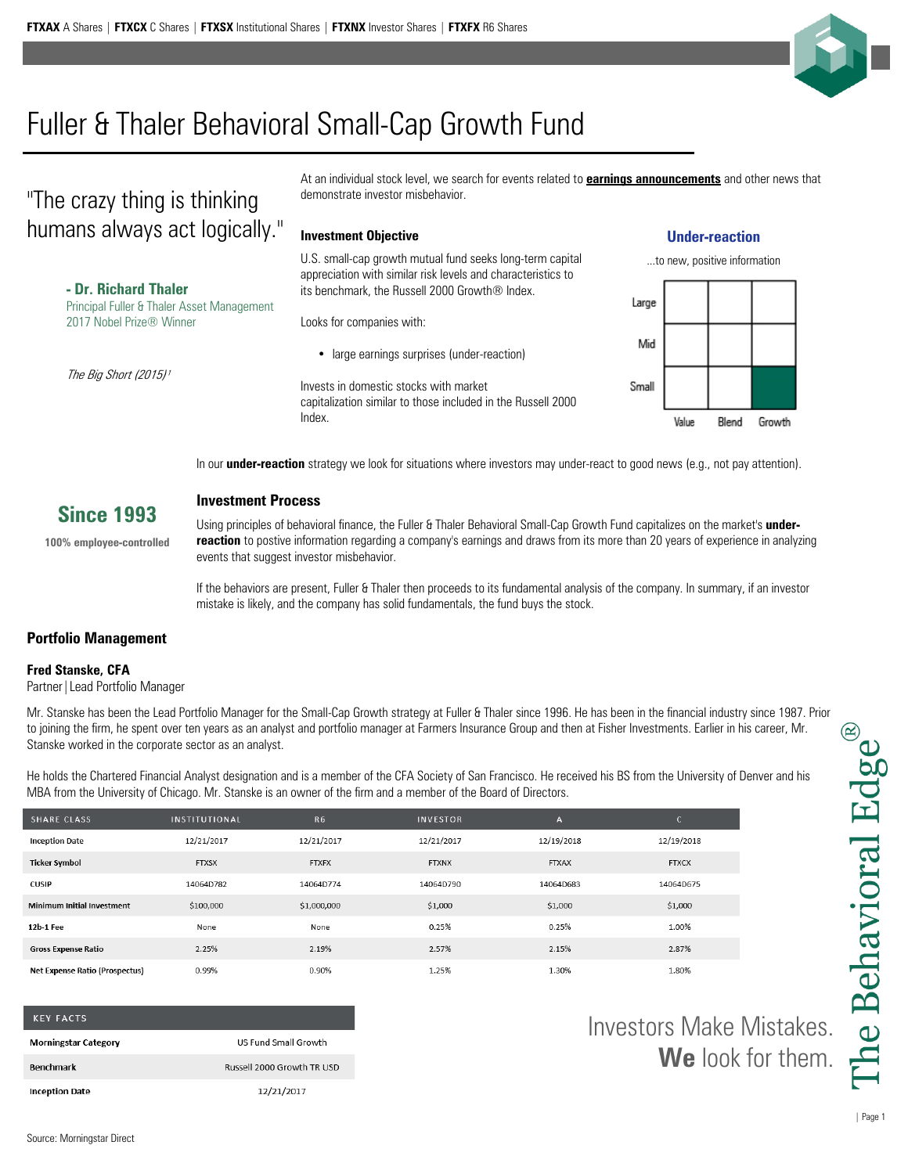

# Fuller & Thaler Behavioral Small-Cap Growth Fund

## "The crazy thing is thinking humans always act logically."

**- Dr. Richard Thaler** Principal Fuller & Thaler Asset Management 2017 Nobel Prize® Winner

The Big Short (2015)<sup>1</sup>

At an individual stock level, we search for events related to **earnings announcements** and other news that demonstrate investor misbehavior.

### **Investment Objective**

U.S. small-cap growth mutual fund seeks long-term capital appreciation with similar risk levels and characteristics to its benchmark, the Russell 2000 Growth® Index.

Looks for companies with:

• large earnings surprises (under-reaction)

Invests in domestic stocks with market capitalization similar to those included in the Russell 2000 Index.

### **Under-reaction**



In our **under-reaction** strategy we look for situations where investors may under-react to good news (e.g., not pay attention).

### **Since 1993**

**100% employee-controlled**

### **Investment Process**

Using principles of behavioral finance, the Fuller & Thaler Behavioral Small-Cap Growth Fund capitalizes on the market's **underreaction** to postive information regarding a company's earnings and draws from its more than 20 years of experience in analyzing events that suggest investor misbehavior.

If the behaviors are present, Fuller & Thaler then proceeds to its fundamental analysis of the company. In summary, if an investor mistake is likely, and the company has solid fundamentals, the fund buys the stock.

### **Portfolio Management**

### **Fred Stanske, CFA**

Partner|Lead Portfolio Manager

Mr. Stanske has been the Lead Portfolio Manager for the Small-Cap Growth strategy at Fuller & Thaler since 1996. He has been in the financial industry since 1987. Prior to joining the firm, he spent over ten years as an analyst and portfolio manager at Farmers Insurance Group and then at Fisher Investments. Earlier in his career, Mr. Stanske worked in the corporate sector as an analyst.

He holds the Chartered Financial Analyst designation and is a member of the CFA Society of San Francisco. He received his BS from the University of Denver and his MBA from the University of Chicago. Mr. Stanske is an owner of the firm and a member of the Board of Directors.

| <b>SHARE CLASS</b>                    | <b>INSTITUTIONAL</b> | R <sub>6</sub> | <b>INVESTOR</b> | A            | C            |
|---------------------------------------|----------------------|----------------|-----------------|--------------|--------------|
| <b>Inception Date</b>                 | 12/21/2017           | 12/21/2017     | 12/21/2017      | 12/19/2018   | 12/19/2018   |
| <b>Ticker Symbol</b>                  | <b>FTXSX</b>         | <b>FTXFX</b>   | <b>FTXNX</b>    | <b>FTXAX</b> | <b>FTXCX</b> |
| <b>CUSIP</b>                          | 14064D782            | 14064D774      | 14064D790       | 14064D683    | 14064D675    |
| <b>Minimum Initial Investment</b>     | \$100,000            | \$1,000,000    | \$1,000         | \$1,000      | \$1,000      |
| 12b-1 Fee                             | None                 | None           | 0.25%           | 0.25%        | 1.00%        |
| <b>Gross Expense Ratio</b>            | 2.25%                | 2.19%          | 2.57%           | 2.15%        | 2.87%        |
| <b>Net Expense Ratio (Prospectus)</b> | 0.99%                | 0.90%          | 1.25%           | 1.30%        | 1.80%        |

| <b>KEY FACTS</b>            |                             |
|-----------------------------|-----------------------------|
| <b>Morningstar Category</b> | <b>US Fund Small Growth</b> |
| <b>Benchmark</b>            | Russell 2000 Growth TR USD  |
| <b>Inception Date</b>       | 12/21/2017                  |

Investors Make Mistakes. **We** look for them.